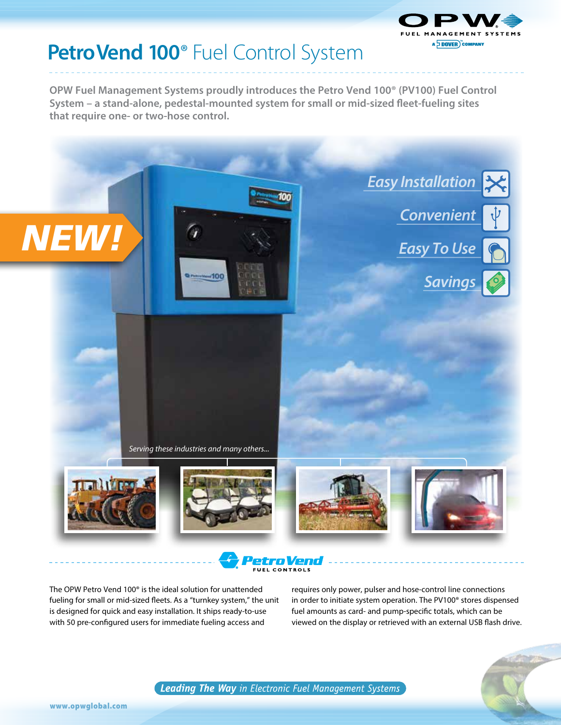

# **Petro Vend 100<sup>®</sup>** Fuel Control System

**OPW Fuel Management Systems proudly introduces the Petro Vend 100® (PV100) Fuel Control System – a stand-alone, pedestal-mounted system for small or mid-sized fleet-fueling sites that require one- or two-hose control.** 



The OPW Petro Vend 100® is the ideal solution for unattended fueling for small or mid-sized fleets. As a "turnkey system," the unit is designed for quick and easy installation. It ships ready-to-use with 50 pre-configured users for immediate fueling access and

requires only power, pulser and hose-control line connections in order to initiate system operation. The PV100® stores dispensed fuel amounts as card- and pump-specific totals, which can be viewed on the display or retrieved with an external USB flash drive.



**Leading The Way** in Electronic Fuel Management Systems